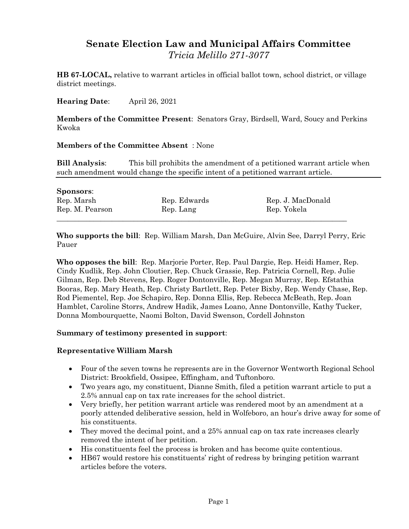# **Senate Election Law and Municipal Affairs Committee** *Tricia Melillo 271-3077*

**HB 67-LOCAL,** relative to warrant articles in official ballot town, school district, or village district meetings.

**Hearing Date**: April 26, 2021

**Members of the Committee Present**: Senators Gray, Birdsell, Ward, Soucy and Perkins Kwoka

#### **Members of the Committee Absent** : None

**Bill Analysis**: This bill prohibits the amendment of a petitioned warrant article when such amendment would change the specific intent of a petitioned warrant article.

| <b>Sponsors:</b> |              |                   |
|------------------|--------------|-------------------|
| Rep. Marsh       | Rep. Edwards | Rep. J. MacDonald |
| Rep. M. Pearson  | Rep. Lang    | Rep. Yokela       |
|                  |              |                   |

**Who supports the bill**: Rep. William Marsh, Dan McGuire, Alvin See, Darryl Perry, Eric Pauer

**Who opposes the bill**: Rep. Marjorie Porter, Rep. Paul Dargie, Rep. Heidi Hamer, Rep. Cindy Kudlik, Rep. John Cloutier, Rep. Chuck Grassie, Rep. Patricia Cornell, Rep. Julie Gilman, Rep. Deb Stevens, Rep. Roger Dontonville, Rep. Megan Murray, Rep. Efstathia Booras, Rep. Mary Heath, Rep. Christy Bartlett, Rep. Peter Bixby, Rep. Wendy Chase, Rep. Rod Piementel, Rep. Joe Schapiro, Rep. Donna Ellis, Rep. Rebecca McBeath, Rep. Joan Hamblet, Caroline Storrs, Andrew Hadik, James Loano, Anne Dontonville, Kathy Tucker, Donna Mombourquette, Naomi Bolton, David Swenson, Cordell Johnston

#### **Summary of testimony presented in support**:

#### **Representative William Marsh**

- Four of the seven towns he represents are in the Governor Wentworth Regional School District: Brookfield, Ossipee, Effingham, and Tuftonboro.
- Two years ago, my constituent, Dianne Smith, filed a petition warrant article to put a 2.5% annual cap on tax rate increases for the school district.
- Very briefly, her petition warrant article was rendered moot by an amendment at a poorly attended deliberative session, held in Wolfeboro, an hour's drive away for some of his constituents.
- They moved the decimal point, and a 25% annual cap on tax rate increases clearly removed the intent of her petition.
- His constituents feel the process is broken and has become quite contentious.
- HB67 would restore his constituents' right of redress by bringing petition warrant articles before the voters.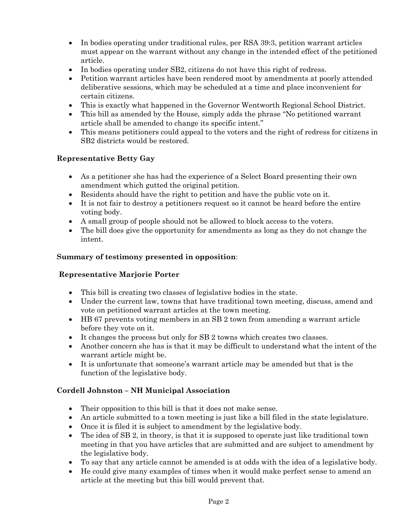- In bodies operating under traditional rules, per RSA 39:3, petition warrant articles must appear on the warrant without any change in the intended effect of the petitioned article.
- In bodies operating under SB2, citizens do not have this right of redress.
- Petition warrant articles have been rendered moot by amendments at poorly attended deliberative sessions, which may be scheduled at a time and place inconvenient for certain citizens.
- This is exactly what happened in the Governor Wentworth Regional School District.
- This bill as amended by the House, simply adds the phrase "No petitioned warrant article shall be amended to change its specific intent."
- This means petitioners could appeal to the voters and the right of redress for citizens in SB2 districts would be restored.

# **Representative Betty Gay**

- As a petitioner she has had the experience of a Select Board presenting their own amendment which gutted the original petition.
- Residents should have the right to petition and have the public vote on it.
- It is not fair to destroy a petitioners request so it cannot be heard before the entire voting body.
- A small group of people should not be allowed to block access to the voters.
- The bill does give the opportunity for amendments as long as they do not change the intent.

### **Summary of testimony presented in opposition**:

#### **Representative Marjorie Porter**

- This bill is creating two classes of legislative bodies in the state.
- Under the current law, towns that have traditional town meeting, discuss, amend and vote on petitioned warrant articles at the town meeting.
- HB 67 prevents voting members in an SB 2 town from amending a warrant article before they vote on it.
- It changes the process but only for SB 2 towns which creates two classes.
- Another concern she has is that it may be difficult to understand what the intent of the warrant article might be.
- It is unfortunate that someone's warrant article may be amended but that is the function of the legislative body.

# **Cordell Johnston – NH Municipal Association**

- Their opposition to this bill is that it does not make sense.
- An article submitted to a town meeting is just like a bill filed in the state legislature.
- Once it is filed it is subject to amendment by the legislative body.
- The idea of SB 2, in theory, is that it is supposed to operate just like traditional town meeting in that you have articles that are submitted and are subject to amendment by the legislative body.
- To say that any article cannot be amended is at odds with the idea of a legislative body.
- He could give many examples of times when it would make perfect sense to amend an article at the meeting but this bill would prevent that.